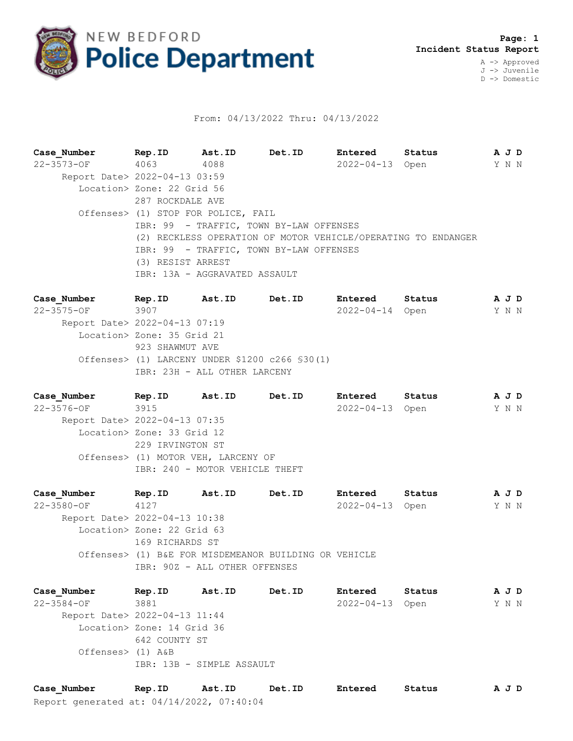

## From: 04/13/2022 Thru: 04/13/2022

**Case\_Number Rep.ID Ast.ID Det.ID Entered Status A J D** 22-3573-OF 4063 4088 2022-04-13 Open Y N N Report Date> 2022-04-13 03:59 Location> Zone: 22 Grid 56 287 ROCKDALE AVE Offenses> (1) STOP FOR POLICE, FAIL IBR: 99 - TRAFFIC, TOWN BY-LAW OFFENSES (2) RECKLESS OPERATION OF MOTOR VEHICLE/OPERATING TO ENDANGER IBR: 99 - TRAFFIC, TOWN BY-LAW OFFENSES (3) RESIST ARREST IBR: 13A - AGGRAVATED ASSAULT

**Case\_Number Rep.ID Ast.ID Det.ID Entered Status A J D** 22-3575-OF 3907 2022-04-14 Open Y N N Report Date> 2022-04-13 07:19 Location> Zone: 35 Grid 21 923 SHAWMUT AVE Offenses> (1) LARCENY UNDER \$1200 c266 §30(1) IBR: 23H - ALL OTHER LARCENY

**Case\_Number Rep.ID Ast.ID Det.ID Entered Status A J D** 22-3576-OF 3915 2022-04-13 Open Y N N Report Date> 2022-04-13 07:35 Location> Zone: 33 Grid 12 229 IRVINGTON ST Offenses> (1) MOTOR VEH, LARCENY OF IBR: 240 - MOTOR VEHICLE THEFT

**Case\_Number Rep.ID Ast.ID Det.ID Entered Status A J D** 22-3580-OF 4127 2022-04-13 Open Y N N Report Date> 2022-04-13 10:38 Location> Zone: 22 Grid 63 169 RICHARDS ST Offenses> (1) B&E FOR MISDEMEANOR BUILDING OR VEHICLE IBR: 90Z - ALL OTHER OFFENSES

**Case\_Number Rep.ID Ast.ID Det.ID Entered Status A J D** 22-3584-OF 3881 2022-04-13 Open Y N N Report Date> 2022-04-13 11:44 Location> Zone: 14 Grid 36 642 COUNTY ST Offenses> (1) A&B IBR: 13B - SIMPLE ASSAULT

Report generated at: 04/14/2022, 07:40:04 **Case\_Number Rep.ID Ast.ID Det.ID Entered Status A J D**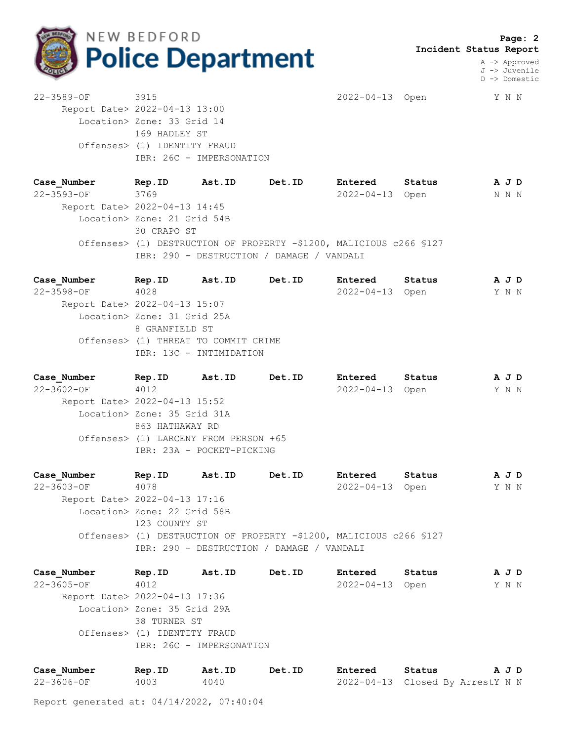

 **Page: 2 Incident Status Report**

> A -> Approved J -> Juvenile D -> Domestic

22-3589-OF 3915 2022-04-13 Open Y N N Report Date> 2022-04-13 13:00 Location> Zone: 33 Grid 14 169 HADLEY ST Offenses> (1) IDENTITY FRAUD IBR: 26C - IMPERSONATION

**Case\_Number Rep.ID Ast.ID Det.ID Entered Status A J D** 22-3593-OF 3769 2022-04-13 Open N N N Report Date> 2022-04-13 14:45 Location> Zone: 21 Grid 54B 30 CRAPO ST Offenses> (1) DESTRUCTION OF PROPERTY -\$1200, MALICIOUS c266 §127 IBR: 290 - DESTRUCTION / DAMAGE / VANDALI

| Case Number                   | Rep.ID                               | Ast.ID                  | Det.ID | Entered         | Status | A J D |
|-------------------------------|--------------------------------------|-------------------------|--------|-----------------|--------|-------|
| $22 - 3598 - 0F$              | 4028                                 |                         |        | 2022-04-13 Open |        | Y N N |
| Report Date> 2022-04-13 15:07 |                                      |                         |        |                 |        |       |
|                               | Location> Zone: 31 Grid 25A          |                         |        |                 |        |       |
|                               | 8 GRANFIELD ST                       |                         |        |                 |        |       |
|                               | Offenses> (1) THREAT TO COMMIT CRIME |                         |        |                 |        |       |
|                               |                                      | IBR: 13C - INTIMIDATION |        |                 |        |       |
|                               |                                      |                         |        |                 |        |       |

**Case\_Number Rep.ID Ast.ID Det.ID Entered Status A J D** 22-3602-OF 4012 2022-04-13 Open Y N N Report Date> 2022-04-13 15:52 Location> Zone: 35 Grid 31A 863 HATHAWAY RD Offenses> (1) LARCENY FROM PERSON +65 IBR: 23A - POCKET-PICKING

**Case\_Number Rep.ID Ast.ID Det.ID Entered Status A J D** 22-3603-OF 4078 2022-04-13 Open Y N N Report Date> 2022-04-13 17:16 Location> Zone: 22 Grid 58B 123 COUNTY ST Offenses> (1) DESTRUCTION OF PROPERTY -\$1200, MALICIOUS c266 §127 IBR: 290 - DESTRUCTION / DAMAGE / VANDALI

| Case Number                   | Rep.ID                       | Ast.ID                   | Det.ID | Entered         | Status |  | A J D |
|-------------------------------|------------------------------|--------------------------|--------|-----------------|--------|--|-------|
| $22 - 3605 - OF$              | 4012                         |                          |        | 2022-04-13 Open |        |  | Y N N |
| Report Date> 2022-04-13 17:36 |                              |                          |        |                 |        |  |       |
|                               | Location> Zone: 35 Grid 29A  |                          |        |                 |        |  |       |
|                               | 38 TURNER ST                 |                          |        |                 |        |  |       |
|                               | Offenses> (1) IDENTITY FRAUD |                          |        |                 |        |  |       |
|                               |                              | IBR: 26C - IMPERSONATION |        |                 |        |  |       |
|                               |                              |                          |        |                 |        |  |       |

| Case Number | Rep.ID | Ast.ID | Det.ID | Entered                          | Status | AJD |  |
|-------------|--------|--------|--------|----------------------------------|--------|-----|--|
| 22-3606-OF  | 4003   | 4040   |        | 2022-04-13 Closed By ArrestY N N |        |     |  |